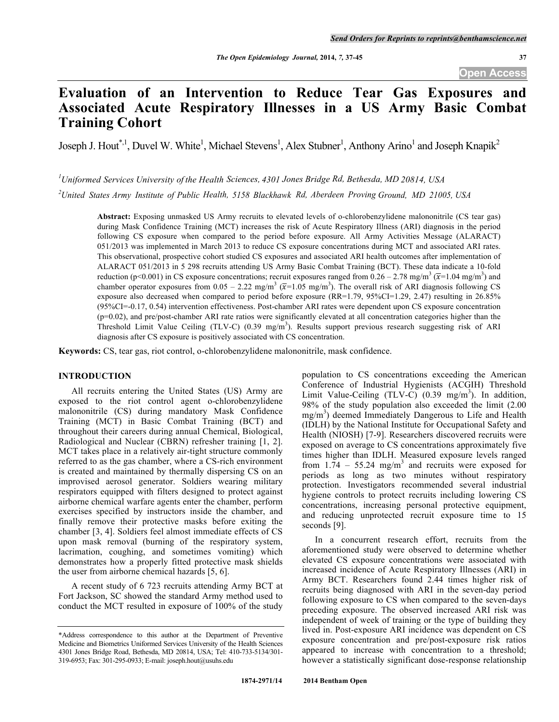# **Evaluation of an Intervention to Reduce Tear Gas Exposures and Associated Acute Respiratory Illnesses in a US Army Basic Combat Training Cohort**

Joseph J. Hout<sup>\*,1</sup>, Duvel W. White<sup>1</sup>, Michael Stevens<sup>1</sup>, Alex Stubner<sup>1</sup>, Anthony Arino<sup>1</sup> and Joseph Knapik<sup>2</sup>

*1 Uniformed Services University of the Health Sciences, 4301 Jones Bridge Rd, Bethesda, MD 20814, USA*

*2 United States Army Institute of Public Health, 5158 Blackhawk Rd, Aberdeen Proving Ground, MD 21005, USA*

**Abstract:** Exposing unmasked US Army recruits to elevated levels of o-chlorobenzylidene malononitrile (CS tear gas) during Mask Confidence Training (MCT) increases the risk of Acute Respiratory Illness (ARI) diagnosis in the period following CS exposure when compared to the period before exposure. All Army Activities Message (ALARACT) 051/2013 was implemented in March 2013 to reduce CS exposure concentrations during MCT and associated ARI rates. This observational, prospective cohort studied CS exposures and associated ARI health outcomes after implementation of ALARACT 051/2013 in 5 298 recruits attending US Army Basic Combat Training (BCT). These data indicate a 10-fold reduction (p<0.001) in CS exposure concentrations; recruit exposures ranged from 0.26 – 2.78 mg/m<sup>3</sup> ( $\overline{x}$ =1.04 mg/m<sup>3</sup>) and chamber operator exposures from  $0.05 - 2.22$  mg/m<sup>3</sup> ( $\overline{x}$ =1.05 mg/m<sup>3</sup>). The overall risk of ARI diagnosis following CS exposure also decreased when compared to period before exposure (RR=1.79, 95%CI=1.29, 2.47) resulting in 26.85% (95%CI=-0.17, 0.54) intervention effectiveness. Post-chamber ARI rates were dependent upon CS exposure concentration (p=0.02), and pre/post-chamber ARI rate ratios were significantly elevated at all concentration categories higher than the Threshold Limit Value Ceiling (TLV-C) (0.39 mg/m<sup>3</sup>). Results support previous research suggesting risk of ARI diagnosis after CS exposure is positively associated with CS concentration.

**Keywords:** CS, tear gas, riot control, o-chlorobenzylidene malononitrile, mask confidence.

# **INTRODUCTION**

All recruits entering the United States (US) Army are exposed to the riot control agent o-chlorobenzylidene malononitrile (CS) during mandatory Mask Confidence Training (MCT) in Basic Combat Training (BCT) and throughout their careers during annual Chemical, Biological, Radiological and Nuclear (CBRN) refresher training [1, 2]. MCT takes place in a relatively air-tight structure commonly referred to as the gas chamber, where a CS-rich environment is created and maintained by thermally dispersing CS on an improvised aerosol generator. Soldiers wearing military respirators equipped with filters designed to protect against airborne chemical warfare agents enter the chamber, perform exercises specified by instructors inside the chamber, and finally remove their protective masks before exiting the chamber [3, 4]. Soldiers feel almost immediate effects of CS upon mask removal (burning of the respiratory system, lacrimation, coughing, and sometimes vomiting) which demonstrates how a properly fitted protective mask shields the user from airborne chemical hazards [5, 6].

A recent study of 6 723 recruits attending Army BCT at Fort Jackson, SC showed the standard Army method used to conduct the MCT resulted in exposure of 100% of the study

population to CS concentrations exceeding the American Conference of Industrial Hygienists (ACGIH) Threshold Limit Value-Ceiling  $(TLV-C)^2$  (0.39 mg/m<sup>3</sup>). In addition, 98% of the study population also exceeded the limit (2.00 mg/m<sup>3</sup>) deemed Immediately Dangerous to Life and Health (IDLH) by the National Institute for Occupational Safety and Health (NIOSH) [7-9]. Researchers discovered recruits were exposed on average to CS concentrations approximately five times higher than IDLH. Measured exposure levels ranged from  $1.74 - 55.24$  mg/m<sup>3</sup> and recruits were exposed for periods as long as two minutes without respiratory protection. Investigators recommended several industrial hygiene controls to protect recruits including lowering CS concentrations, increasing personal protective equipment, and reducing unprotected recruit exposure time to 15 seconds [9].

In a concurrent research effort, recruits from the aforementioned study were observed to determine whether elevated CS exposure concentrations were associated with increased incidence of Acute Respiratory Illnesses (ARI) in Army BCT. Researchers found 2.44 times higher risk of recruits being diagnosed with ARI in the seven-day period following exposure to CS when compared to the seven-days preceding exposure. The observed increased ARI risk was independent of week of training or the type of building they lived in. Post-exposure ARI incidence was dependent on CS exposure concentration and pre/post-exposure risk ratios appeared to increase with concentration to a threshold; however a statistically significant dose-response relationship

<sup>\*</sup>Address correspondence to this author at the Department of Preventive Medicine and Biometrics Uniformed Services University of the Health Sciences 4301 Jones Bridge Road, Bethesda, MD 20814, USA; Tel: 410-733-5134/301- 319-6953; Fax: 301-295-0933; E-mail: joseph.hout@usuhs.edu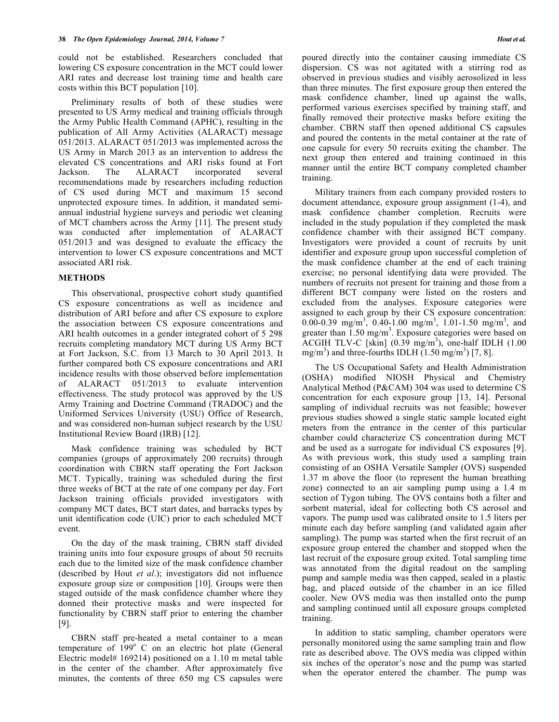could not be established. Researchers concluded that lowering CS exposure concentration in the MCT could lower ARI rates and decrease lost training time and health care costs within this BCT population [10].

Preliminary results of both of these studies were presented to US Army medical and training officials through the Army Public Health Command (APHC), resulting in the publication of All Army Activities (ALARACT) message 051/2013. ALARACT 051/2013 was implemented across the US Army in March 2013 as an intervention to address the elevated CS concentrations and ARI risks found at Fort Jackson. The ALARACT incorporated several recommendations made by researchers including reduction of CS used during MCT and maximum 15 second unprotected exposure times. In addition, it mandated semiannual industrial hygiene surveys and periodic wet cleaning of MCT chambers across the Army [11]. The present study was conducted after implementation of ALARACT 051/2013 and was designed to evaluate the efficacy the intervention to lower CS exposure concentrations and MCT associated ARI risk.

#### **METHODS**

This observational, prospective cohort study quantified CS exposure concentrations as well as incidence and distribution of ARI before and after CS exposure to explore the association between CS exposure concentrations and ARI health outcomes in a gender integrated cohort of 5 298 recruits completing mandatory MCT during US Army BCT at Fort Jackson, S.C. from 13 March to 30 April 2013. It further compared both CS exposure concentrations and ARI incidence results with those observed before implementation of ALARACT 051/2013 to evaluate intervention effectiveness. The study protocol was approved by the US Army Training and Doctrine Command (TRADOC) and the Uniformed Services University (USU) Office of Research, and was considered non-human subject research by the USU Institutional Review Board (IRB) [12].

Mask confidence training was scheduled by BCT companies (groups of approximately 200 recruits) through coordination with CBRN staff operating the Fort Jackson MCT. Typically, training was scheduled during the first three weeks of BCT at the rate of one company per day. Fort Jackson training officials provided investigators with company MCT dates, BCT start dates, and barracks types by unit identification code (UIC) prior to each scheduled MCT event.

On the day of the mask training, CBRN staff divided training units into four exposure groups of about 50 recruits each due to the limited size of the mask confidence chamber (described by Hout *et al*.); investigators did not influence exposure group size or composition [10]. Groups were then staged outside of the mask confidence chamber where they donned their protective masks and were inspected for functionality by CBRN staff prior to entering the chamber [9].

CBRN staff pre-heated a metal container to a mean temperature of  $199^{\circ}$  C on an electric hot plate (General Electric model# 169214) positioned on a 1.10 m metal table in the center of the chamber. After approximately five minutes, the contents of three 650 mg CS capsules were poured directly into the container causing immediate CS dispersion. CS was not agitated with a stirring rod as observed in previous studies and visibly aerosolized in less than three minutes. The first exposure group then entered the mask confidence chamber, lined up against the walls, performed various exercises specified by training staff, and finally removed their protective masks before exiting the chamber. CBRN staff then opened additional CS capsules and poured the contents in the metal container at the rate of one capsule for every 50 recruits exiting the chamber. The next group then entered and training continued in this manner until the entire BCT company completed chamber training.

Military trainers from each company provided rosters to document attendance, exposure group assignment (1-4), and mask confidence chamber completion. Recruits were included in the study population if they completed the mask confidence chamber with their assigned BCT company. Investigators were provided a count of recruits by unit identifier and exposure group upon successful completion of the mask confidence chamber at the end of each training exercise; no personal identifying data were provided. The numbers of recruits not present for training and those from a different BCT company were listed on the rosters and excluded from the analyses. Exposure categories were assigned to each group by their CS exposure concentration: 0.00-0.39 mg/m<sup>3</sup>, 0.40-1.00 mg/m<sup>3</sup>, 1.01-1.50 mg/m<sup>3</sup>, and greater than 1.50 mg/m<sup>3</sup>. Exposure categories were based on ACGIH TLV-C [skin]  $(0.39 \text{ mg/m}^3)$ , one-half IDLH  $(1.00 \text{ g/m}^3)$ mg/m<sup>3</sup>) and three-fourths IDLH  $(1.50 \text{ mg/m}^3)$  [7, 8].

The US Occupational Safety and Health Administration (OSHA) modified NIOSH Physical and Chemistry Analytical Method (P&CAM) 304 was used to determine CS concentration for each exposure group [13, 14]. Personal sampling of individual recruits was not feasible; however previous studies showed a single static sample located eight meters from the entrance in the center of this particular chamber could characterize CS concentration during MCT and be used as a surrogate for individual CS exposures [9]. As with previous work, this study used a sampling train consisting of an OSHA Versatile Sampler (OVS) suspended 1.37 m above the floor (to represent the human breathing zone) connected to an air sampling pump using a 1.4 m section of Tygon tubing. The OVS contains both a filter and sorbent material, ideal for collecting both CS aerosol and vapors. The pump used was calibrated onsite to 1.5 liters per minute each day before sampling (and validated again after sampling). The pump was started when the first recruit of an exposure group entered the chamber and stopped when the last recruit of the exposure group exited. Total sampling time was annotated from the digital readout on the sampling pump and sample media was then capped, sealed in a plastic bag, and placed outside of the chamber in an ice filled cooler. New OVS media was then installed onto the pump and sampling continued until all exposure groups completed training.

In addition to static sampling, chamber operators were personally monitored using the same sampling train and flow rate as described above. The OVS media was clipped within six inches of the operator's nose and the pump was started when the operator entered the chamber. The pump was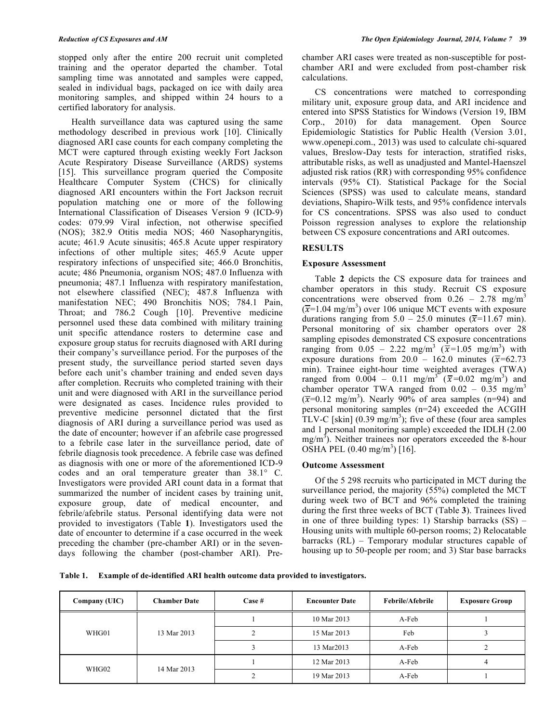stopped only after the entire 200 recruit unit completed training and the operator departed the chamber. Total sampling time was annotated and samples were capped, sealed in individual bags, packaged on ice with daily area monitoring samples, and shipped within 24 hours to a certified laboratory for analysis.

Health surveillance data was captured using the same methodology described in previous work [10]. Clinically diagnosed ARI case counts for each company completing the MCT were captured through existing weekly Fort Jackson Acute Respiratory Disease Surveillance (ARDS) systems [15]. This surveillance program queried the Composite Healthcare Computer System (CHCS) for clinically diagnosed ARI encounters within the Fort Jackson recruit population matching one or more of the following International Classification of Diseases Version 9 (ICD-9) codes: 079.99 Viral infection, not otherwise specified (NOS); 382.9 Otitis media NOS; 460 Nasopharyngitis, acute; 461.9 Acute sinusitis; 465.8 Acute upper respiratory infections of other multiple sites; 465.9 Acute upper respiratory infections of unspecified site; 466.0 Bronchitis, acute; 486 Pneumonia, organism NOS; 487.0 Influenza with pneumonia; 487.1 Influenza with respiratory manifestation, not elsewhere classified (NEC); 487.8 Influenza with manifestation NEC; 490 Bronchitis NOS; 784.1 Pain, Throat; and 786.2 Cough [10]. Preventive medicine personnel used these data combined with military training unit specific attendance rosters to determine case and exposure group status for recruits diagnosed with ARI during their company's surveillance period. For the purposes of the present study, the surveillance period started seven days before each unit's chamber training and ended seven days after completion. Recruits who completed training with their unit and were diagnosed with ARI in the surveillance period were designated as cases. Incidence rules provided to preventive medicine personnel dictated that the first diagnosis of ARI during a surveillance period was used as the date of encounter; however if an afebrile case progressed to a febrile case later in the surveillance period, date of febrile diagnosis took precedence. A febrile case was defined as diagnosis with one or more of the aforementioned ICD-9 codes and an oral temperature greater than 38.1° C. Investigators were provided ARI count data in a format that summarized the number of incident cases by training unit, exposure group, date of medical encounter, and febrile/afebrile status. Personal identifying data were not provided to investigators (Table **1**). Investigators used the date of encounter to determine if a case occurred in the week preceding the chamber (pre-chamber ARI) or in the sevendays following the chamber (post-chamber ARI). Prechamber ARI cases were treated as non-susceptible for postchamber ARI and were excluded from post-chamber risk calculations.

CS concentrations were matched to corresponding military unit, exposure group data, and ARI incidence and entered into SPSS Statistics for Windows (Version 19, IBM Corp., 2010) for data management. Open Source Epidemiologic Statistics for Public Health (Version 3.01, www.openepi.com., 2013) was used to calculate chi-squared values, Breslow-Day tests for interaction, stratified risks, attributable risks, as well as unadjusted and Mantel-Haenszel adjusted risk ratios (RR) with corresponding 95% confidence intervals (95% CI). Statistical Package for the Social Sciences (SPSS) was used to calculate means, standard deviations, Shapiro-Wilk tests, and 95% confidence intervals for CS concentrations. SPSS was also used to conduct Poisson regression analyses to explore the relationship between CS exposure concentrations and ARI outcomes.

## **RESULTS**

#### **Exposure Assessment**

Table **2** depicts the CS exposure data for trainees and chamber operators in this study. Recruit CS exposure concentrations were observed from  $0.26 - 2.78$  mg/m<sup>3</sup>  $(\overline{x}$ =1.04 mg/m<sup>3</sup>) over 106 unique MCT events with exposure durations ranging from  $5.0 - 25.0$  minutes ( $\overline{x}$ =11.67 min). Personal monitoring of six chamber operators over 28 sampling episodes demonstrated CS exposure concentrations ranging from  $0.05 - 2.22$  mg/m<sup>3</sup> ( $\dot{\overline{x}}$ =1.05 mg/m<sup>3</sup>) with exposure durations from  $20.0 - 162.0$  minutes ( $\overline{x}$ =62.73 min). Trainee eight-hour time weighted averages (TWA) ranged from 0.004 – 0.11 mg/m<sup>3</sup> ( $\bar{x}$ =0.02 mg/m<sup>3</sup>) and chamber operator TWA ranged from  $0.02 - 0.35$  mg/m<sup>3</sup>  $(\overline{x}=0.12 \text{ mg/m}^3)$ . Nearly 90% of area samples (n=94) and personal monitoring samples (n=24) exceeded the ACGIH TLV-C [skin]  $(0.39 \text{ mg/m}^3)$ ; five of these (four area samples and 1 personal monitoring sample) exceeded the IDLH (2.00  $mg/m<sup>3</sup>$ ). Neither trainees nor operators exceeded the 8-hour  $\overline{\text{OSHA}}$  PEL (0.40 mg/m<sup>3</sup>) [16].

## **Outcome Assessment**

Of the 5 298 recruits who participated in MCT during the surveillance period, the majority (55%) completed the MCT during week two of BCT and 96% completed the training during the first three weeks of BCT (Table **3**). Trainees lived in one of three building types: 1) Starship barracks (SS) – Housing units with multiple 60-person rooms; 2) Relocatable barracks (RL) – Temporary modular structures capable of housing up to 50-people per room; and 3) Star base barracks

**Table 1. Example of de-identified ARI health outcome data provided to investigators.**

| Company (UIC)        | <b>Chamber Date</b> | $\bf Case~#$ | <b>Encounter Date</b> | Febrile/Afebrile | <b>Exposure Group</b> |
|----------------------|---------------------|--------------|-----------------------|------------------|-----------------------|
| WHG01<br>13 Mar 2013 |                     | 10 Mar 2013  | A-Feb                 |                  |                       |
|                      |                     |              | 15 Mar 2013           | Feb              |                       |
|                      |                     |              | 13 Mar2013            | A-Feb            |                       |
|                      |                     |              | 12 Mar 2013           | A-Feb            |                       |
| WHG02                | 14 Mar 2013         |              | 19 Mar 2013           | A-Feb            |                       |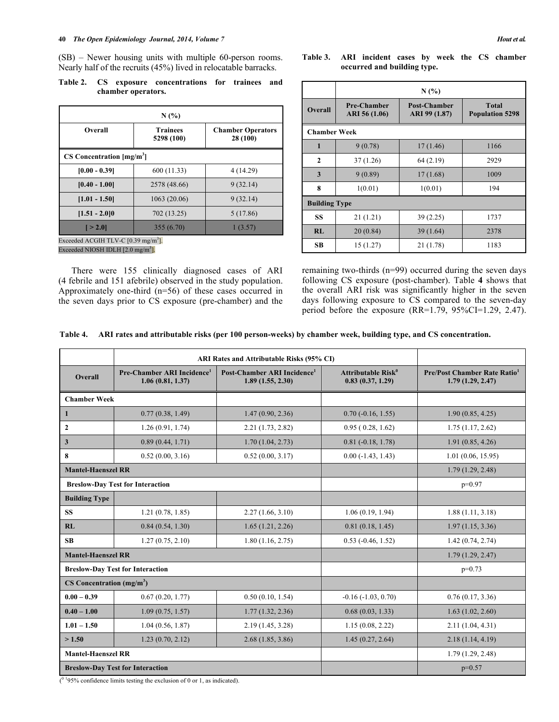(SB) – Newer housing units with multiple 60-person rooms. Nearly half of the recruits (45%) lived in relocatable barracks.

**Table 2. CS exposure concentrations for trainees and chamber operators.**

| N(%                                            |                               |                                      |  |  |
|------------------------------------------------|-------------------------------|--------------------------------------|--|--|
| Overall                                        | <b>Trainees</b><br>5298 (100) | <b>Chamber Operators</b><br>28 (100) |  |  |
| $CS$ Concentration $[mg/m3]$                   |                               |                                      |  |  |
| $[0.00 - 0.39]$                                | 600 (11.33)                   | 4 (14.29)                            |  |  |
| $[0.40 - 1.00]$                                | 2578 (48.66)                  | 9(32.14)                             |  |  |
| $[1.01 - 1.50]$                                | 1063(20.06)                   | 9(32.14)                             |  |  |
| $[1.51 - 2.0]0$                                | 702 (13.25)                   | 5(17.86)                             |  |  |
| $[-2.0]$                                       | 355(6.70)                     | 1(3.57)                              |  |  |
| Exceeded ACGIH TLV-C $[0.39 \text{ mg/m}^3]$ . |                               |                                      |  |  |

Exceeded NIOSH IDLH  $[2.0 \text{ mg/m}^3]$ .

There were 155 clinically diagnosed cases of ARI (4 febrile and 151 afebrile) observed in the study population. Approximately one-third (n=56) of these cases occurred in the seven days prior to CS exposure (pre-chamber) and the **Table 3. ARI incident cases by week the CS chamber occurred and building type.**

|                      | N(%)                                |                                      |                                        |  |  |
|----------------------|-------------------------------------|--------------------------------------|----------------------------------------|--|--|
| <b>Overall</b>       | <b>Pre-Chamber</b><br>ARI 56 (1.06) | <b>Post-Chamber</b><br>ARI 99 (1.87) | <b>Total</b><br><b>Population 5298</b> |  |  |
| <b>Chamber Week</b>  |                                     |                                      |                                        |  |  |
| 1                    | 9(0.78)                             | 17(1.46)                             | 1166                                   |  |  |
| $\mathbf{2}$         | 37(1.26)                            | 64(2.19)                             | 2929                                   |  |  |
| 3                    | 9(0.89)                             | 17(1.68)                             | 1009                                   |  |  |
| 8                    | 1(0.01)                             | 1(0.01)                              | 194                                    |  |  |
| <b>Building Type</b> |                                     |                                      |                                        |  |  |
| <b>SS</b>            | 21(1.21)                            | 39(2.25)                             | 1737                                   |  |  |
| RI.                  | 20(0.84)                            | 39(1.64)                             | 2378                                   |  |  |
| <b>SB</b>            | 15(1.27)                            | 21 (1.78)                            | 1183                                   |  |  |

remaining two-thirds (n=99) occurred during the seven days following CS exposure (post-chamber). Table **4** shows that the overall ARI risk was significantly higher in the seven days following exposure to CS compared to the seven-day period before the exposure (RR=1.79, 95%CI=1.29, 2.47).

|  | Table 4. ARI rates and attributable risks (per 100 person-weeks) by chamber week, building type, and CS concentration. |  |  |  |  |
|--|------------------------------------------------------------------------------------------------------------------------|--|--|--|--|
|--|------------------------------------------------------------------------------------------------------------------------|--|--|--|--|

|                                         | ARI Rates and Attributable Risks (95% CI)                  |                                                             |                                                    |                                                              |
|-----------------------------------------|------------------------------------------------------------|-------------------------------------------------------------|----------------------------------------------------|--------------------------------------------------------------|
| <b>Overall</b>                          | Pre-Chamber ARI Incidence <sup>1</sup><br>1.06(0.81, 1.37) | Post-Chamber ARI Incidence <sup>1</sup><br>1.89(1.55, 2.30) | Attributable Risk <sup>0</sup><br>0.83(0.37, 1.29) | Pre/Post Chamber Rate Ratio <sup>1</sup><br>1.79(1.29, 2.47) |
| <b>Chamber Week</b>                     |                                                            |                                                             |                                                    |                                                              |
| 1                                       | 0.77(0.38, 1.49)                                           | 1.47(0.90, 2.36)                                            | $0.70$ ( $-0.16$ , $1.55$ )                        | 1.90(0.85, 4.25)                                             |
| $\mathbf{2}$                            | 1.26(0.91, 1.74)                                           | 2.21(1.73, 2.82)                                            | 0.95(0.28, 1.62)                                   | 1.75(1.17, 2.62)                                             |
| $\mathbf{3}$                            | 0.89(0.44, 1.71)                                           | 1.70(1.04, 2.73)                                            | $0.81 (-0.18, 1.78)$                               | 1.91(0.85, 4.26)                                             |
| 8                                       | 0.52(0.00, 3.16)                                           | 0.52(0.00, 3.17)                                            | $0.00(-1.43, 1.43)$                                | 1.01(0.06, 15.95)                                            |
| <b>Mantel-Haenszel RR</b>               |                                                            |                                                             |                                                    | 1.79(1.29, 2.48)                                             |
|                                         | <b>Breslow-Day Test for Interaction</b>                    |                                                             |                                                    | $p=0.97$                                                     |
| <b>Building Type</b>                    |                                                            |                                                             |                                                    |                                                              |
| <b>SS</b>                               | 1.21(0.78, 1.85)                                           | 2.27(1.66, 3.10)                                            | 1.06(0.19, 1.94)                                   | 1.88(1.11, 3.18)                                             |
| RL                                      | 0.84(0.54, 1.30)                                           | 1.65(1.21, 2.26)                                            | 0.81(0.18, 1.45)                                   | 1.97(1.15, 3.36)                                             |
| SB                                      | 1.27(0.75, 2.10)                                           | 1.80(1.16, 2.75)                                            | $0.53$ ( $-0.46$ , $1.52$ )                        | 1.42(0.74, 2.74)                                             |
| <b>Mantel-Haenszel RR</b>               |                                                            |                                                             | 1.79(1.29, 2.47)                                   |                                                              |
| <b>Breslow-Day Test for Interaction</b> |                                                            |                                                             |                                                    | $p=0.73$                                                     |
| $CS$ Concentration (mg/m <sup>3</sup> ) |                                                            |                                                             |                                                    |                                                              |
| $0.00 - 0.39$                           | 0.67(0.20, 1.77)                                           | 0.50(0.10, 1.54)                                            | $-0.16$ $(-1.03, 0.70)$                            | 0.76(0.17, 3.36)                                             |
| $0.40 - 1.00$                           | 1.09(0.75, 1.57)                                           | 1.77(1.32, 2.36)                                            | 0.68(0.03, 1.33)                                   | 1.63(1.02, 2.60)                                             |
| $1.01 - 1.50$                           | 1.04(0.56, 1.87)                                           | 2.19 (1.45, 3.28)                                           | 1.15(0.08, 2.22)                                   | 2.11(1.04, 4.31)                                             |
| >1.50                                   | 1.23(0.70, 2.12)                                           | 2.68(1.85, 3.86)                                            | 1.45(0.27, 2.64)                                   | 2.18(1.14, 4.19)                                             |
| <b>Mantel-Haenszel RR</b>               |                                                            |                                                             |                                                    | 1.79(1.29, 2.48)                                             |
| <b>Breslow-Day Test for Interaction</b> |                                                            |                                                             | $p=0.57$                                           |                                                              |

 $(0<sup>1</sup>95%$  confidence limits testing the exclusion of 0 or 1, as indicated).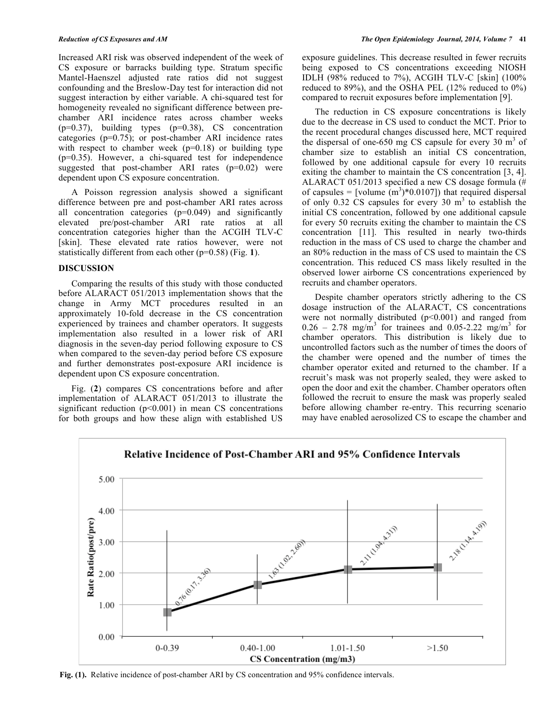Increased ARI risk was observed independent of the week of CS exposure or barracks building type. Stratum specific Mantel-Haenszel adjusted rate ratios did not suggest confounding and the Breslow-Day test for interaction did not suggest interaction by either variable. A chi-squared test for homogeneity revealed no significant difference between prechamber ARI incidence rates across chamber weeks  $(p=0.37)$ , building types  $(p=0.38)$ , CS concentration categories (p=0.75); or post-chamber ARI incidence rates with respect to chamber week  $(p=0.18)$  or building type (p=0.35). However, a chi-squared test for independence suggested that post-chamber ARI rates (p=0.02) were dependent upon CS exposure concentration.

A Poisson regression analysis showed a significant difference between pre and post-chamber ARI rates across all concentration categories (p=0.049) and significantly elevated pre/post-chamber ARI rate ratios at all concentration categories higher than the ACGIH TLV-C [skin]. These elevated rate ratios however, were not statistically different from each other (p=0.58) (Fig. **1**).

#### **DISCUSSION**

Comparing the results of this study with those conducted before ALARACT 051/2013 implementation shows that the change in Army MCT procedures resulted in an approximately 10-fold decrease in the CS concentration experienced by trainees and chamber operators. It suggests implementation also resulted in a lower risk of ARI diagnosis in the seven-day period following exposure to CS when compared to the seven-day period before CS exposure and further demonstrates post-exposure ARI incidence is dependent upon CS exposure concentration.

Fig. (**2**) compares CS concentrations before and after implementation of ALARACT 051/2013 to illustrate the significant reduction  $(p<0.001)$  in mean CS concentrations for both groups and how these align with established US

exposure guidelines. This decrease resulted in fewer recruits being exposed to CS concentrations exceeding NIOSH IDLH (98% reduced to 7%), ACGIH TLV-C [skin] (100% reduced to 89%), and the OSHA PEL (12% reduced to 0%) compared to recruit exposures before implementation [9].

The reduction in CS exposure concentrations is likely due to the decrease in CS used to conduct the MCT. Prior to the recent procedural changes discussed here, MCT required the dispersal of one-650 mg CS capsule for every 30  $m<sup>3</sup>$  of chamber size to establish an initial CS concentration, followed by one additional capsule for every 10 recruits exiting the chamber to maintain the CS concentration [3, 4]. ALARACT 051/2013 specified a new CS dosage formula (# of capsules = [volume  $(m^3)*0.0107$ ]) that required dispersal of only  $0.32$  CS capsules for every 30 m<sup>3</sup> to establish the initial CS concentration, followed by one additional capsule for every 50 recruits exiting the chamber to maintain the CS concentration [11]. This resulted in nearly two-thirds reduction in the mass of CS used to charge the chamber and an 80% reduction in the mass of CS used to maintain the CS concentration. This reduced CS mass likely resulted in the observed lower airborne CS concentrations experienced by recruits and chamber operators.

Despite chamber operators strictly adhering to the CS dosage instruction of the ALARACT, CS concentrations were not normally distributed  $(p<0.001)$  and ranged from  $0.26 - 2.78$  mg/m<sup>3</sup> for trainees and  $0.05 - 2.22$  mg/m<sup>3</sup> for chamber operators. This distribution is likely due to uncontrolled factors such as the number of times the doors of the chamber were opened and the number of times the chamber operator exited and returned to the chamber. If a recruit's mask was not properly sealed, they were asked to open the door and exit the chamber. Chamber operators often followed the recruit to ensure the mask was properly sealed before allowing chamber re-entry. This recurring scenario may have enabled aerosolized CS to escape the chamber and



**Fig. (1).** Relative incidence of post-chamber ARI by CS concentration and 95% confidence intervals.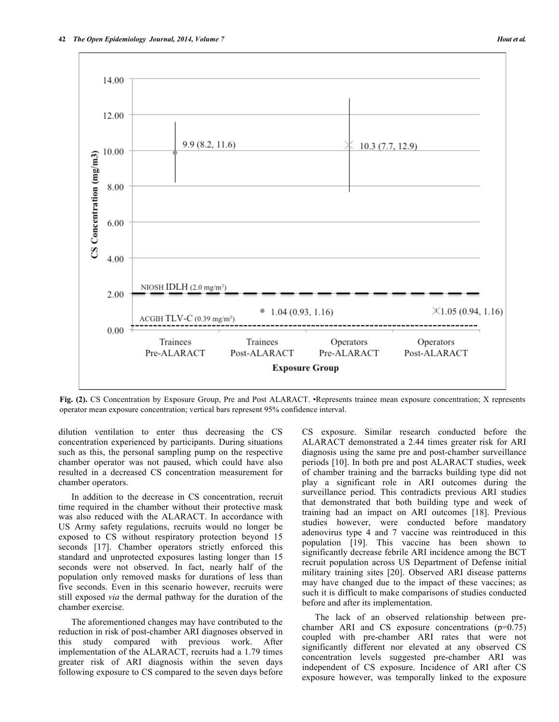

**Fig. (2).** CS Concentration by Exposure Group, Pre and Post ALARACT. •Represents trainee mean exposure concentration; X represents operator mean exposure concentration; vertical bars represent 95% confidence interval.

dilution ventilation to enter thus decreasing the CS concentration experienced by participants. During situations such as this, the personal sampling pump on the respective chamber operator was not paused, which could have also resulted in a decreased CS concentration measurement for chamber operators.

In addition to the decrease in CS concentration, recruit time required in the chamber without their protective mask was also reduced with the ALARACT. In accordance with US Army safety regulations, recruits would no longer be exposed to CS without respiratory protection beyond 15 seconds [17]. Chamber operators strictly enforced this standard and unprotected exposures lasting longer than 15 seconds were not observed. In fact, nearly half of the population only removed masks for durations of less than five seconds. Even in this scenario however, recruits were still exposed *via* the dermal pathway for the duration of the chamber exercise.

The aforementioned changes may have contributed to the reduction in risk of post-chamber ARI diagnoses observed in this study compared with previous work. After implementation of the ALARACT, recruits had a 1.79 times greater risk of ARI diagnosis within the seven days following exposure to CS compared to the seven days before

CS exposure. Similar research conducted before the ALARACT demonstrated a 2.44 times greater risk for ARI diagnosis using the same pre and post-chamber surveillance periods [10]. In both pre and post ALARACT studies, week of chamber training and the barracks building type did not play a significant role in ARI outcomes during the surveillance period. This contradicts previous ARI studies that demonstrated that both building type and week of training had an impact on ARI outcomes [18]. Previous studies however, were conducted before mandatory adenovirus type 4 and 7 vaccine was reintroduced in this population [19]. This vaccine has been shown to significantly decrease febrile ARI incidence among the BCT recruit population across US Department of Defense initial military training sites [20]. Observed ARI disease patterns may have changed due to the impact of these vaccines; as such it is difficult to make comparisons of studies conducted before and after its implementation.

The lack of an observed relationship between prechamber ARI and CS exposure concentrations (p=0.75) coupled with pre-chamber ARI rates that were not significantly different nor elevated at any observed CS concentration levels suggested pre-chamber ARI was independent of CS exposure. Incidence of ARI after CS exposure however, was temporally linked to the exposure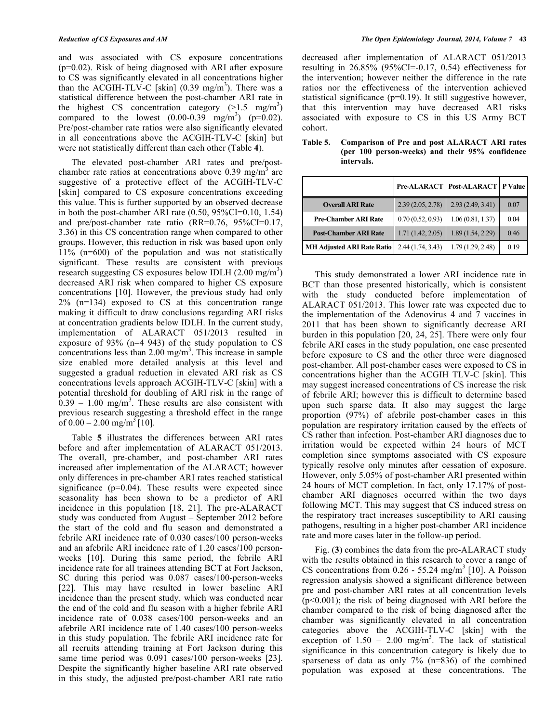and was associated with CS exposure concentrations (p=0.02). Risk of being diagnosed with ARI after exposure to CS was significantly elevated in all concentrations higher than the ACGIH-TLV-C [skin]  $(0.39 \text{ mg/m}^3)$ . There was a statistical difference between the post-chamber ARI rate in the highest CS concentration category  $(>1.5 \text{ mg/m}^3)$ compared to the lowest  $(0.00-0.39 \text{ mg/m}^3)$  (p=0.02). Pre/post-chamber rate ratios were also significantly elevated in all concentrations above the ACGIH-TLV-C [skin] but were not statistically different than each other (Table **4**).

The elevated post-chamber ARI rates and pre/postchamber rate ratios at concentrations above  $0.39 \text{ mg/m}^3$  are suggestive of a protective effect of the ACGIH-TLV-C [skin] compared to CS exposure concentrations exceeding this value. This is further supported by an observed decrease in both the post-chamber ARI rate (0.50, 95%CI=0.10, 1.54) and pre/post-chamber rate ratio (RR=0.76, 95%CI=0.17, 3.36) in this CS concentration range when compared to other groups. However, this reduction in risk was based upon only 11% (n=600) of the population and was not statistically significant. These results are consistent with previous research suggesting CS exposures below IDLH  $(2.00 \text{ mg/m}^3)$ decreased ARI risk when compared to higher CS exposure concentrations [10]. However, the previous study had only 2% (n=134) exposed to CS at this concentration range making it difficult to draw conclusions regarding ARI risks at concentration gradients below IDLH. In the current study, implementation of ALARACT 051/2013 resulted in exposure of 93% (n=4 943) of the study population to CS concentrations less than  $2.00 \text{ mg/m}^3$ . This increase in sample size enabled more detailed analysis at this level and suggested a gradual reduction in elevated ARI risk as CS concentrations levels approach ACGIH-TLV-C [skin] with a potential threshold for doubling of ARI risk in the range of  $0.39 - 1.00$  mg/m<sup>3</sup>. These results are also consistent with previous research suggesting a threshold effect in the range of  $0.00 - 2.00$  mg/m<sup>3</sup> [10].

Table **5** illustrates the differences between ARI rates before and after implementation of ALARACT 051/2013. The overall, pre-chamber, and post-chamber ARI rates increased after implementation of the ALARACT; however only differences in pre-chamber ARI rates reached statistical significance ( $p=0.04$ ). These results were expected since seasonality has been shown to be a predictor of ARI incidence in this population [18, 21]. The pre-ALARACT study was conducted from August – September 2012 before the start of the cold and flu season and demonstrated a febrile ARI incidence rate of 0.030 cases/100 person-weeks and an afebrile ARI incidence rate of 1.20 cases/100 personweeks [10]. During this same period, the febrile ARI incidence rate for all trainees attending BCT at Fort Jackson, SC during this period was 0.087 cases/100-person-weeks [22]. This may have resulted in lower baseline ARI incidence than the present study, which was conducted near the end of the cold and flu season with a higher febrile ARI incidence rate of 0.038 cases/100 person-weeks and an afebrile ARI incidence rate of 1.40 cases/100 person-weeks in this study population. The febrile ARI incidence rate for all recruits attending training at Fort Jackson during this same time period was 0.091 cases/100 person-weeks [23]. Despite the significantly higher baseline ARI rate observed in this study, the adjusted pre/post-chamber ARI rate ratio

decreased after implementation of ALARACT 051/2013 resulting in  $26.85\%$  (95%CI=-0.17, 0.54) effectiveness for the intervention; however neither the difference in the rate ratios nor the effectiveness of the intervention achieved statistical significance (p=0.19). It still suggestive however, that this intervention may have decreased ARI risks associated with exposure to CS in this US Army BCT cohort.

|                                   |                  | <b>Pre-ALARACT   Post-ALARACT   P Value  </b> |      |
|-----------------------------------|------------------|-----------------------------------------------|------|
| <b>Overall ARI Rate</b>           | 2.39(2.05, 2.78) | 2.93(2.49, 3.41)                              | 0.07 |
| <b>Pre-Chamber ARI Rate</b>       | 0.70(0.52, 0.93) | 1.06(0.81, 1.37)                              | 0.04 |
| <b>Post-Chamber ARI Rate</b>      | 1.71(1.42, 2.05) | 1.89(1.54, 2.29)                              | 0.46 |
| <b>MH Adjusted ARI Rate Ratio</b> | 2.44(1.74, 3.43) | 1.79(1.29, 2.48)                              | 0.19 |

**Table 5. Comparison of Pre and post ALARACT ARI rates (per 100 person-weeks) and their 95% confidence intervals.**

This study demonstrated a lower ARI incidence rate in BCT than those presented historically, which is consistent with the study conducted before implementation of ALARACT 051/2013. This lower rate was expected due to the implementation of the Adenovirus 4 and 7 vaccines in 2011 that has been shown to significantly decrease ARI burden in this population [20, 24, 25]. There were only four febrile ARI cases in the study population, one case presented before exposure to CS and the other three were diagnosed post-chamber. All post-chamber cases were exposed to CS in concentrations higher than the ACGIH TLV-C [skin]. This may suggest increased concentrations of CS increase the risk of febrile ARI; however this is difficult to determine based upon such sparse data. It also may suggest the large proportion (97%) of afebrile post-chamber cases in this population are respiratory irritation caused by the effects of CS rather than infection. Post-chamber ARI diagnoses due to irritation would be expected within 24 hours of MCT completion since symptoms associated with CS exposure typically resolve only minutes after cessation of exposure. However, only 5.05% of post-chamber ARI presented within 24 hours of MCT completion. In fact, only 17.17% of postchamber ARI diagnoses occurred within the two days following MCT. This may suggest that CS induced stress on the respiratory tract increases susceptibility to ARI causing pathogens, resulting in a higher post-chamber ARI incidence rate and more cases later in the follow-up period.

Fig. (**3**) combines the data from the pre-ALARACT study with the results obtained in this research to cover a range of CS concentrations from  $0.26 - 55.24$  mg/m<sup>3</sup> [10]. A Poisson regression analysis showed a significant difference between pre and post-chamber ARI rates at all concentration levels (p<0.001); the risk of being diagnosed with ARI before the chamber compared to the risk of being diagnosed after the chamber was significantly elevated in all concentration categories above the ACGIH-TLV-C [skin] with the exception of  $1.50 - 2.00$  mg/m<sup>3</sup>. The lack of statistical significance in this concentration category is likely due to sparseness of data as only 7% (n=836) of the combined population was exposed at these concentrations. The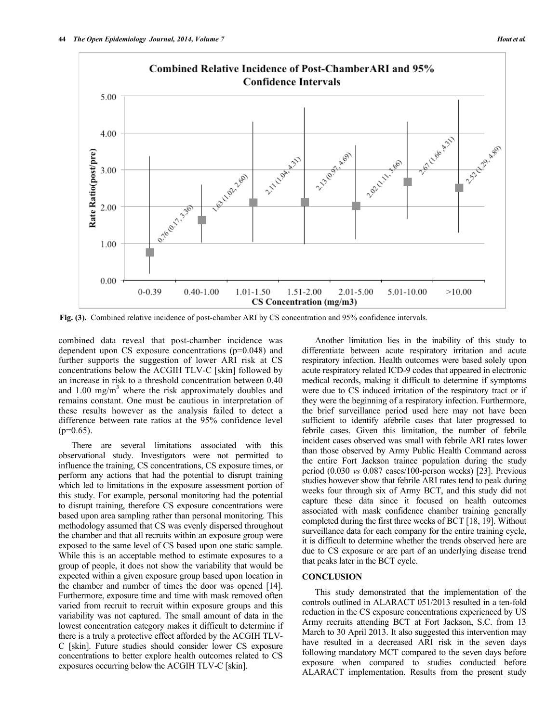

**Fig. (3).** Combined relative incidence of post-chamber ARI by CS concentration and 95% confidence intervals.

combined data reveal that post-chamber incidence was dependent upon CS exposure concentrations (p=0.048) and further supports the suggestion of lower ARI risk at CS concentrations below the ACGIH TLV-C [skin] followed by an increase in risk to a threshold concentration between 0.40 and  $1.00 \text{ mg/m}^3$  where the risk approximately doubles and remains constant. One must be cautious in interpretation of these results however as the analysis failed to detect a difference between rate ratios at the 95% confidence level  $(p=0.65)$ .

There are several limitations associated with this observational study. Investigators were not permitted to influence the training, CS concentrations, CS exposure times, or perform any actions that had the potential to disrupt training which led to limitations in the exposure assessment portion of this study. For example, personal monitoring had the potential to disrupt training, therefore CS exposure concentrations were based upon area sampling rather than personal monitoring. This methodology assumed that CS was evenly dispersed throughout the chamber and that all recruits within an exposure group were exposed to the same level of CS based upon one static sample. While this is an acceptable method to estimate exposures to a group of people, it does not show the variability that would be expected within a given exposure group based upon location in the chamber and number of times the door was opened [14]. Furthermore, exposure time and time with mask removed often varied from recruit to recruit within exposure groups and this variability was not captured. The small amount of data in the lowest concentration category makes it difficult to determine if there is a truly a protective effect afforded by the ACGIH TLV-C [skin]. Future studies should consider lower CS exposure concentrations to better explore health outcomes related to CS exposures occurring below the ACGIH TLV-C [skin].

Another limitation lies in the inability of this study to differentiate between acute respiratory irritation and acute respiratory infection. Health outcomes were based solely upon acute respiratory related ICD-9 codes that appeared in electronic medical records, making it difficult to determine if symptoms were due to CS induced irritation of the respiratory tract or if they were the beginning of a respiratory infection. Furthermore, the brief surveillance period used here may not have been sufficient to identify afebrile cases that later progressed to febrile cases. Given this limitation, the number of febrile incident cases observed was small with febrile ARI rates lower than those observed by Army Public Health Command across the entire Fort Jackson trainee population during the study period (0.030 *vs* 0.087 cases/100-person weeks) [23]. Previous studies however show that febrile ARI rates tend to peak during weeks four through six of Army BCT, and this study did not capture these data since it focused on health outcomes associated with mask confidence chamber training generally completed during the first three weeks of BCT [18, 19]. Without surveillance data for each company for the entire training cycle, it is difficult to determine whether the trends observed here are due to CS exposure or are part of an underlying disease trend that peaks later in the BCT cycle.

# **CONCLUSION**

This study demonstrated that the implementation of the controls outlined in ALARACT 051/2013 resulted in a ten-fold reduction in the CS exposure concentrations experienced by US Army recruits attending BCT at Fort Jackson, S.C. from 13 March to 30 April 2013. It also suggested this intervention may have resulted in a decreased ARI risk in the seven days following mandatory MCT compared to the seven days before exposure when compared to studies conducted before ALARACT implementation. Results from the present study